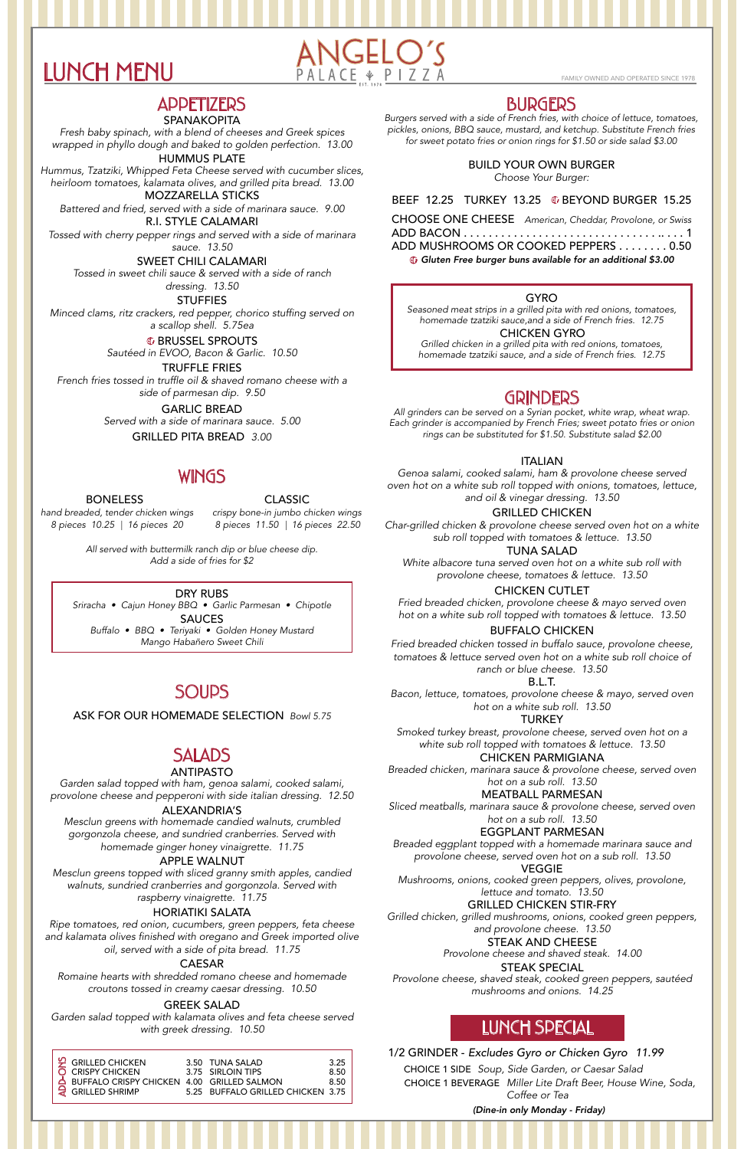

### **APPETIZERS**

#### SPANAKOPITA

*Fresh baby spinach, with a blend of cheeses and Greek spices wrapped in phyllo dough and baked to golden perfection. 13.00*

HUMMUS PLATE

*Hummus, Tzatziki, Whipped Feta Cheese served with cucumber slices, heirloom tomatoes, kalamata olives, and grilled pita bread. 13.00*

MOZZARELLA STICKS

*Battered and fried, served with a side of marinara sauce. 9.00* R.I. STYLE CALAMARI

*Tossed with cherry pepper rings and served with a side of marinara sauce. 13.50*

SWEET CHILI CALAMARI *Tossed in sweet chili sauce & served with a side of ranch dressing. 13.50*

**STUFFIES** 

*Minced clams, ritz crackers, red pepper, chorico stuffing served on a scallop shell. 5.75ea*

**G** BRUSSEL SPROUTS

TRUFFLE FRIES

*French fries tossed in truffle oil & shaved romano cheese with a side of parmesan dip. 9.50*

> *Served with a side of marinara sauce. 5.00* GARLIC BREAD

> > GRILLED PITA BREAD *3.00*

*Sautéed in EVOO, Bacon & Garlic. 10.50*

BONELESS

*hand breaded, tender chicken wings 8 pieces 10.25 16 pieces 20* | *8 pieces 11.50 16 pieces 22.50* |

*crispy bone-in jumbo chicken wings*

*All served with buttermilk ranch dip or blue cheese dip. Add a side of fries for \$2*

CLASSIC

### WINGS

#### DRY RUBS

SAUCES *Sriracha • Cajun Honey BBQ • Garlic Parmesan • Chipotle Buffalo • BBQ • Teriyaki • Golden Honey Mustard*

*Mango Habañero Sweet Chili*

## **SOUPS**

### SALADS

### ANTIPASTO

### ALEXANDRIA'S

*Mesclun greens with homemade candied walnuts, crumbled gorgonzola cheese, and sundried cranberries. Served with homemade ginger honey vinaigrette. 11.75*

*Garden salad topped with ham, genoa salami, cooked salami, provolone cheese and pepperoni with side italian dressing. 12.50*

### APPLE WALNUT

*Mesclun greens topped with sliced granny smith apples, candied walnuts, sundried cranberries and gorgonzola. Served with raspberry vinaigrette. 11.75*

### HORIATIKI SALATA

*Ripe tomatoes, red onion, cucumbers, green peppers, feta cheese and kalamata olives finished with oregano and Greek imported olive oil, served with a side of pita bread. 11.75*

### CAESAR

*Romaine hearts with shredded romano cheese and homemade croutons tossed in creamy caesar dressing. 10.50*

### GREEK SALAD

*Garden salad topped with kalamata olives and feta cheese served with greek dressing. 10.50*

ASK FOR OUR HOMEMADE SELECTION *Bowl 5.75*

| $\frac{10}{2}$ GRILLED CHICKEN<br>O CRISPY CHICKEN<br>A BUFFALO CRISPY CHICKEN 4.00 GRILLED SALMON | 3.50 TUNA SALAD<br>3.75 SIRLOIN TIPS | 3.25<br>8.50<br>8.50 |
|----------------------------------------------------------------------------------------------------|--------------------------------------|----------------------|
| GRILLED SHRIMP                                                                                     | 5.25 BUFFALO GRILLED CHICKEN 3.75    |                      |

### BURGERS

*Burgers served with a side of French fries, with choice of lettuce, tomatoes, pickles, onions, BBQ sauce, mustard, and ketchup. Substitute French fries for sweet potato fries or onion rings for \$1.50 or side salad \$3.00*

| CHOOSE ONE CHEESE American, Cheddar, Provolone, or Swiss |
|----------------------------------------------------------|
|                                                          |
| ADD MUSHROOMS OR COOKED PEPPERS 0.50                     |

**G** Gluten Free burger buns available for an additional \$3.00

### *Choose Your Burger:* BUILD YOUR OWN BURGER

BEEF 12.25 TURKEY 13.25 © BEYOND BURGER 15.25

### GYRO

CHICKEN GYRO

*Seasoned meat strips in a grilled pita with red onions, tomatoes, homemade tzatziki sauce,and a side of French fries. 12.75*

*Grilled chicken in a grilled pita with red onions, tomatoes, homemade tzatziki sauce, and a side of French fries. 12.75*

### **GRINDERS**

*All grinders can be served on a Syrian pocket, white wrap, wheat wrap. Each grinder is accompanied by French Fries; sweet potato fries or onion rings can be substituted for \$1.50. Substitute salad \$2.00*

### ITALIAN

*Genoa salami, cooked salami, ham & provolone cheese served oven hot on a white sub roll topped with onions, tomatoes, lettuce, and oil & vinegar dressing. 13.50*

### MEATBALL PARMESAN

*Sliced meatballs, marinara sauce & provolone cheese, served oven hot on a sub roll. 13.50*

### GRILLED CHICKEN

*Char-grilled chicken & provolone cheese served oven hot on a white sub roll topped with tomatoes & lettuce. 13.50*

### TUNA SALAD

*White albacore tuna served oven hot on a white sub roll with provolone cheese, tomatoes & lettuce. 13.50*

### CHICKEN CUTLET

*Fried breaded chicken, provolone cheese & mayo served oven hot on a white sub roll topped with tomatoes & lettuce. 13.50*

### BUFFALO CHICKEN

*Fried breaded chicken tossed in buffalo sauce, provolone cheese, tomatoes & lettuce served oven hot on a white sub roll choice of ranch or blue cheese. 13.50*

### B.L.T.

*Bacon, lettuce, tomatoes, provolone cheese & mayo, served oven hot on a white sub roll. 13.50*

### **TURKEY**

*Smoked turkey breast, provolone cheese, served oven hot on a white sub roll topped with tomatoes & lettuce. 13.50*

### CHICKEN PARMIGIANA

*Breaded chicken, marinara sauce & provolone cheese, served oven hot on a sub roll. 13.50*

### VEGGIE

*Mushrooms, onions, cooked green peppers, olives, provolone, lettuce and tomato. 13.50*

### GRILLED CHICKEN STIR-FRY

*Grilled chicken, grilled mushrooms, onions, cooked green peppers, and provolone cheese. 13.50*

### STEAK AND CHEESE

*Provolone cheese and shaved steak. 14.00*

### STEAK SPECIAL

*Provolone cheese, shaved steak, cooked green peppers, sautéed mushrooms and onions. 14.25*

EGGPLANT PARMESAN

*Breaded eggplant topped with a homemade marinara sauce and provolone cheese, served oven hot on a sub roll. 13.50*

# LUNCH SPECIAL

1/2 GRINDER - *Excludes Gyro or Chicken Gyro 11.99*CHOICE 1 SIDE *Soup, Side Garden, or Caesar Salad* CHOICE 1 BEVERAGE *Miller Lite Draft Beer, House Wine, Soda, Coffee or Tea*

*(Dine-in only Monday - Friday)*